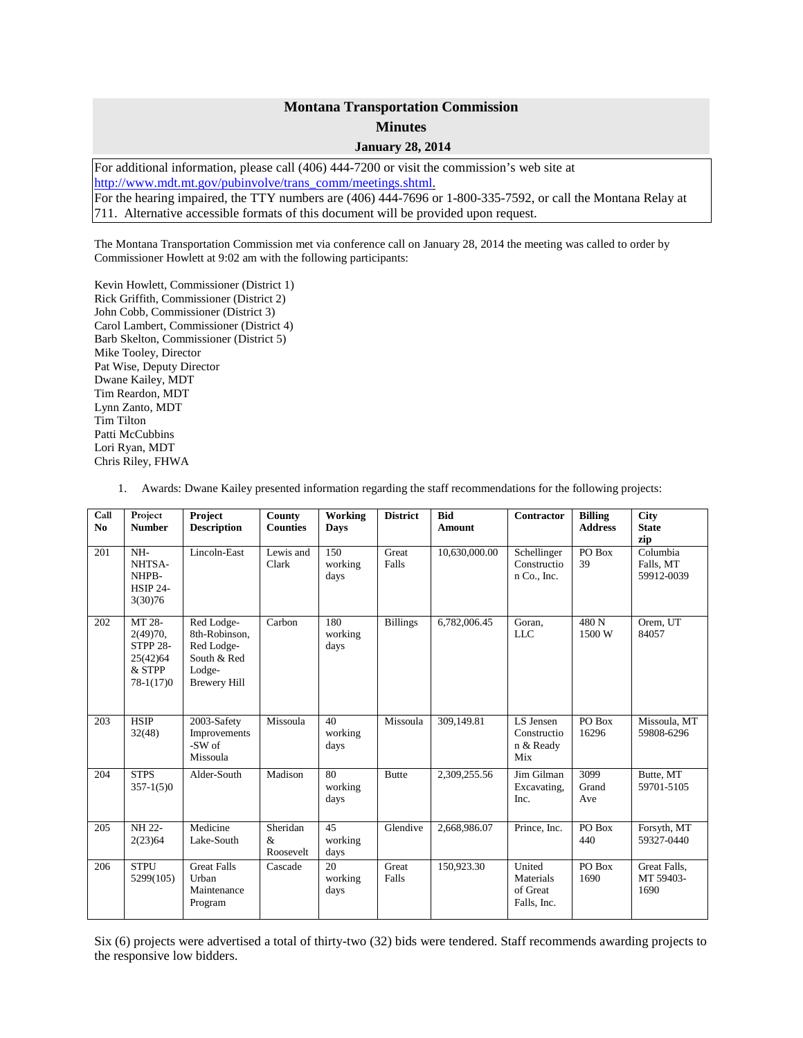## **Montana Transportation Commission Minutes**

**January 28, 2014**

For additional information, please call (406) 444-7200 or visit the commission's web site at [http://www.mdt.mt.gov/pubinvolve/trans\\_comm/meetings.shtml.](http://www.mdt.mt.gov/pubinvolve/trans_comm/meetings.shtml) For the hearing impaired, the TTY numbers are (406) 444-7696 or 1-800-335-7592, or call the Montana Relay at 711. Alternative accessible formats of this document will be provided upon request.

The Montana Transportation Commission met via conference call on January 28, 2014 the meeting was called to order by Commissioner Howlett at 9:02 am with the following participants:

Kevin Howlett, Commissioner (District 1) Rick Griffith, Commissioner (District 2) John Cobb, Commissioner (District 3) Carol Lambert, Commissioner (District 4) Barb Skelton, Commissioner (District 5) Mike Tooley, Director Pat Wise, Deputy Director Dwane Kailey, MDT Tim Reardon, MDT Lynn Zanto, MDT Tim Tilton Patti McCubbins Lori Ryan, MDT Chris Riley, FHWA

1. Awards: Dwane Kailey presented information regarding the staff recommendations for the following projects:

| Call<br>No | Project<br><b>Number</b>                                                        | Project<br><b>Description</b>                                                             | County<br><b>Counties</b>  | Working<br><b>Days</b> | <b>District</b> | <b>Bid</b><br><b>Amount</b> | Contractor                                     | <b>Billing</b><br><b>Address</b> | <b>City</b><br><b>State</b><br>zip  |
|------------|---------------------------------------------------------------------------------|-------------------------------------------------------------------------------------------|----------------------------|------------------------|-----------------|-----------------------------|------------------------------------------------|----------------------------------|-------------------------------------|
| 201        | NH-<br>NHTSA-<br>NHPB-<br><b>HSIP 24-</b><br>3(30)76                            | Lincoln-East                                                                              | Lewis and<br>Clark         | 150<br>working<br>days | Great<br>Falls  | 10.630.000.00               | Schellinger<br>Constructio<br>n Co., Inc.      | PO Box<br>39                     | Columbia<br>Falls, MT<br>59912-0039 |
| 202        | MT 28-<br>$2(49)70$ ,<br><b>STPP 28-</b><br>25(42)64<br>$&$ STPP<br>$78-1(17)0$ | Red Lodge-<br>8th-Robinson.<br>Red Lodge-<br>South & Red<br>Lodge-<br><b>Brewery Hill</b> | Carbon                     | 180<br>working<br>days | <b>Billings</b> | 6,782,006.45                | Goran,<br><b>LLC</b>                           | 480 <sub>N</sub><br>1500 W       | Orem, UT<br>84057                   |
| 203        | $\overline{\text{HSIP}}$<br>32(48)                                              | 2003-Safety<br>Improvements<br>$-SW$ of<br>Missoula                                       | Missoula                   | 40<br>working<br>days  | Missoula        | 309,149.81                  | LS Jensen<br>Constructio<br>n & Ready<br>Mix   | PO Box<br>16296                  | Missoula, MT<br>59808-6296          |
| 204        | <b>STPS</b><br>$357-1(5)0$                                                      | Alder-South                                                                               | Madison                    | 80<br>working<br>days  | <b>Butte</b>    | 2,309,255.56                | Jim Gilman<br>Excavating,<br>Inc.              | 3099<br>Grand<br>Ave             | Butte, MT<br>59701-5105             |
| 205        | NH 22-<br>2(23)64                                                               | Medicine<br>Lake-South                                                                    | Sheridan<br>&<br>Roosevelt | 45<br>working<br>days  | Glendive        | 2,668,986.07                | Prince, Inc.                                   | PO Box<br>440                    | Forsyth, MT<br>59327-0440           |
| 206        | <b>STPU</b><br>5299(105)                                                        | <b>Great Falls</b><br>Urban<br>Maintenance<br>Program                                     | Cascade                    | 20<br>working<br>days  | Great<br>Falls  | 150,923.30                  | United<br>Materials<br>of Great<br>Falls, Inc. | PO Box<br>1690                   | Great Falls,<br>MT 59403-<br>1690   |

Six (6) projects were advertised a total of thirty-two (32) bids were tendered. Staff recommends awarding projects to the responsive low bidders.